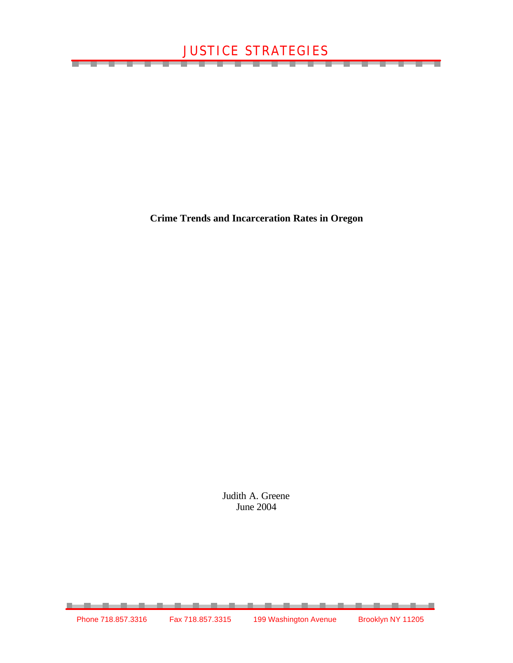<u>The contract of the contract of the contract of the contract of the contract of the contract of the contract of the contract of the contract of the contract of the contract of the contract of the contract of the contract </u>

<u> a shekara t</u>

**Crime Trends and Incarceration Rates in Oregon**

Judith A. Greene June 2004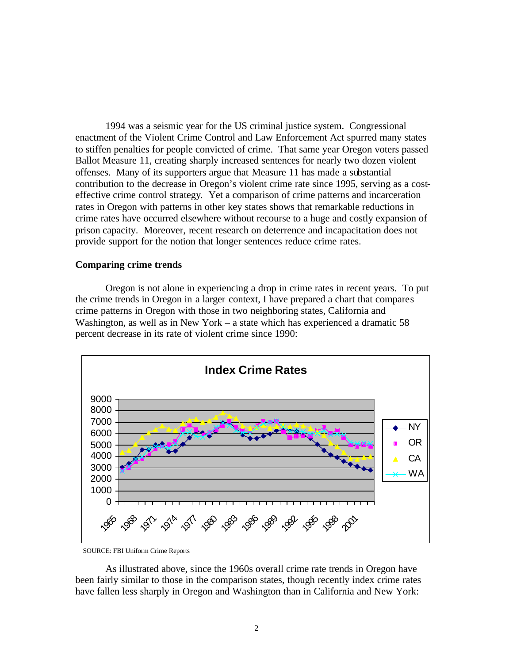1994 was a seismic year for the US criminal justice system. Congressional enactment of the Violent Crime Control and Law Enforcement Act spurred many states to stiffen penalties for people convicted of crime. That same year Oregon voters passed Ballot Measure 11, creating sharply increased sentences for nearly two dozen violent offenses. Many of its supporters argue that Measure 11 has made a substantial contribution to the decrease in Oregon's violent crime rate since 1995, serving as a costeffective crime control strategy. Yet a comparison of crime patterns and incarceration rates in Oregon with patterns in other key states shows that remarkable reductions in crime rates have occurred elsewhere without recourse to a huge and costly expansion of prison capacity. Moreover, recent research on deterrence and incapacitation does not provide support for the notion that longer sentences reduce crime rates.

## **Comparing crime trends**

Oregon is not alone in experiencing a drop in crime rates in recent years. To put the crime trends in Oregon in a larger context, I have prepared a chart that compares crime patterns in Oregon with those in two neighboring states, California and Washington, as well as in New York – a state which has experienced a dramatic 58 percent decrease in its rate of violent crime since 1990:



SOURCE: FBI Uniform Crime Reports

As illustrated above, since the 1960s overall crime rate trends in Oregon have been fairly similar to those in the comparison states, though recently index crime rates have fallen less sharply in Oregon and Washington than in California and New York: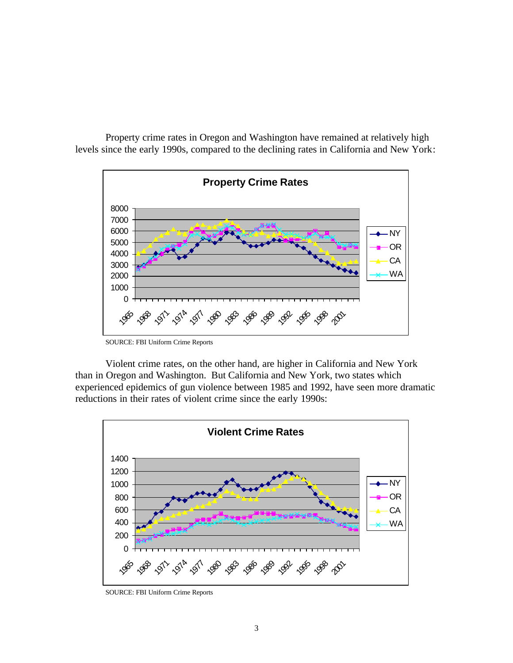

Property crime rates in Oregon and Washington have remained at relatively high levels since the early 1990s, compared to the declining rates in California and New York:

SOURCE: FBI Uniform Crime Reports

Violent crime rates, on the other hand, are higher in California and New York than in Oregon and Washington. But California and New York, two states which experienced epidemics of gun violence between 1985 and 1992, have seen more dramatic reductions in their rates of violent crime since the early 1990s:



SOURCE: FBI Uniform Crime Reports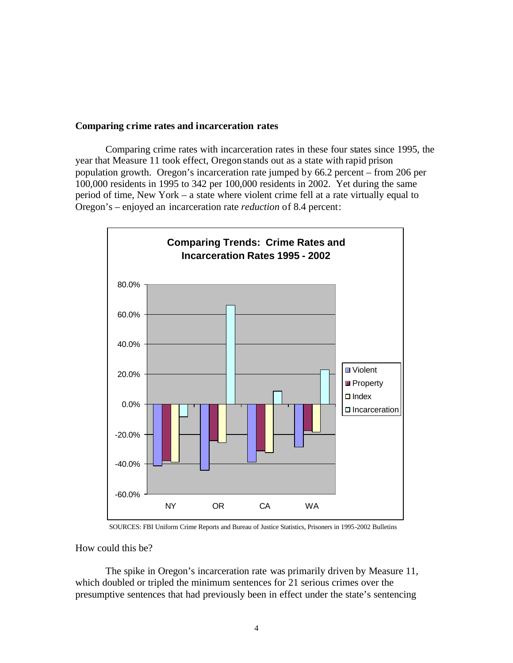## **Comparing crime rates and incarceration rates**

Comparing crime rates with incarceration rates in these four states since 1995, the year that Measure 11 took effect, Oregon stands out as a state with rapid prison population growth. Oregon's incarceration rate jumped by 66.2 percent – from 206 per 100,000 residents in 1995 to 342 per 100,000 residents in 2002. Yet during the same period of time, New York – a state where violent crime fell at a rate virtually equal to Oregon's – enjoyed an incarceration rate *reduction* of 8.4 percent:



SOURCES: FBI Uniform Crime Reports and Bureau of Justice Statistics, Prisoners in 1995-2002 Bulletins

## How could this be?

The spike in Oregon's incarceration rate was primarily driven by Measure 11, which doubled or tripled the minimum sentences for 21 serious crimes over the presumptive sentences that had previously been in effect under the state's sentencing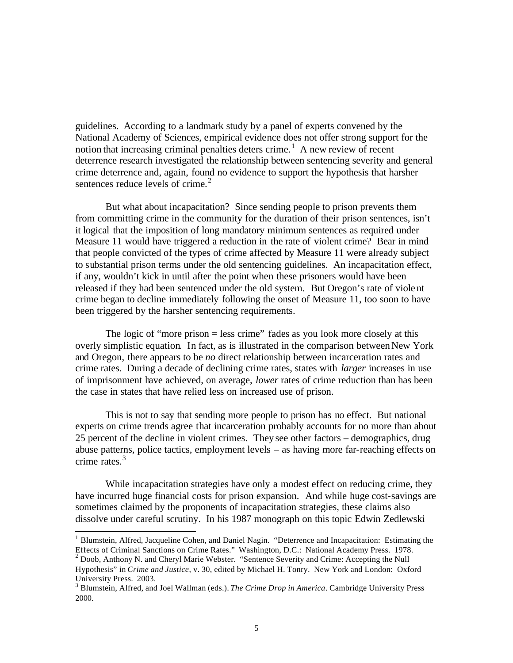guidelines. According to a landmark study by a panel of experts convened by the National Academy of Sciences, empirical evidence does not offer strong support for the notion that increasing criminal penalties deters crime.<sup>1</sup> A new review of recent deterrence research investigated the relationship between sentencing severity and general crime deterrence and, again, found no evidence to support the hypothesis that harsher sentences reduce levels of crime. $2$ 

But what about incapacitation? Since sending people to prison prevents them from committing crime in the community for the duration of their prison sentences, isn't it logical that the imposition of long mandatory minimum sentences as required under Measure 11 would have triggered a reduction in the rate of violent crime? Bear in mind that people convicted of the types of crime affected by Measure 11 were already subject to substantial prison terms under the old sentencing guidelines. An incapacitation effect, if any, wouldn't kick in until after the point when these prisoners would have been released if they had been sentenced under the old system. But Oregon's rate of violent crime began to decline immediately following the onset of Measure 11, too soon to have been triggered by the harsher sentencing requirements.

The logic of "more prison = less crime" fades as you look more closely at this overly simplistic equation. In fact, as is illustrated in the comparison between New York and Oregon, there appears to be *no* direct relationship between incarceration rates and crime rates. During a decade of declining crime rates, states with *larger* increases in use of imprisonment have achieved, on average, *lower* rates of crime reduction than has been the case in states that have relied less on increased use of prison.

This is not to say that sending more people to prison has no effect. But national experts on crime trends agree that incarceration probably accounts for no more than about 25 percent of the decline in violent crimes. They see other factors – demographics, drug abuse patterns, police tactics, employment levels – as having more far-reaching effects on crime rates. $3$ 

While incapacitation strategies have only a modest effect on reducing crime, they have incurred huge financial costs for prison expansion. And while huge cost-savings are sometimes claimed by the proponents of incapacitation strategies, these claims also dissolve under careful scrutiny. In his 1987 monograph on this topic Edwin Zedlewski

l

<sup>&</sup>lt;sup>1</sup> Blumstein, Alfred, Jacqueline Cohen, and Daniel Nagin. "Deterrence and Incapacitation: Estimating the Effects of Criminal Sanctions on Crime Rates."Washington, D.C.: National Academy Press. 1978.

<sup>2</sup> Doob, Anthony N. and Cheryl Marie Webster. "Sentence Severity and Crime: Accepting the Null Hypothesis" in *Crime and Justice*, v. 30, edited by Michael H. Tonry. New York and London: Oxford University Press. 2003.

<sup>3</sup> Blumstein, Alfred, and Joel Wallman (eds.). *The Crime Drop in America*. Cambridge University Press 2000.